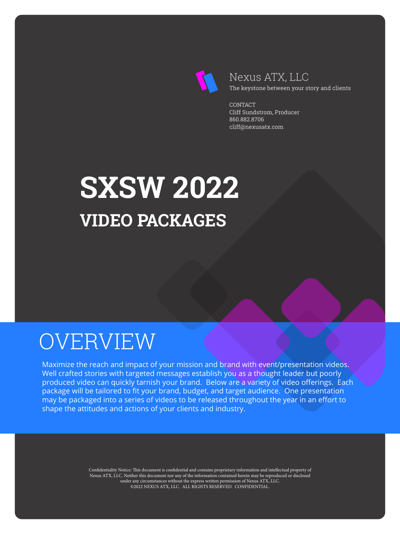

### Nexus ATX, LLC The keystone between your story and clients

**CONTACT** Cliff Sundstrom, Producer 860.882.8706 cliff@nexusatx.com

# **SXSW 2022 VIDEO PACKAGES**

## OVERVIEW

Maximize the reach and impact of your mission and brand with event/presentation videos. Well crafted stories with targeted messages establish you as a thought leader but poorly produced video can quickly tarnish your brand. Below are a variety of video offerings. Each package will be tailored to fit your brand, budget, and target audience. One presentation may be packaged into a series of videos to be released throughout the year in an effort to shape the attitudes and actions of your clients and industry.

> Confidentiality Notice: This document is confidential and contains proprietary information and intellectual property of Nexus ATX, LLC. Neither this document nor any of the information contained herein may be reproduced or disclosed under any circumstances without the express written permission of Nexus ATX, LLC. ©2022 NEXUS ATX, LLC. ALL RIGHTS RESERVED. CONFIDENTIAL.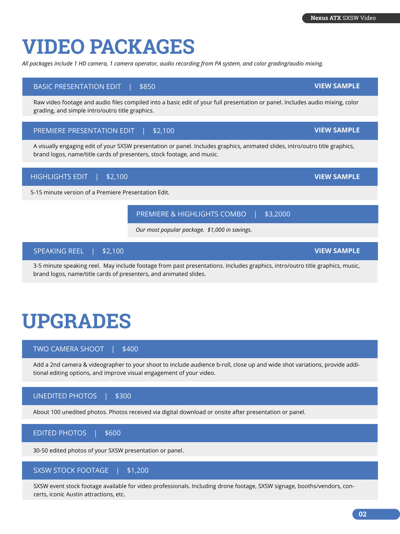# **VIDEO PACKAGES**

*All packages include 1 HD camera, 1 camera operator, audio recording from PA system, and color grading/audio mixing.*

#### BASIC PRESENTATION EDIT | \$850

Raw video footage and audio files compiled into a basic edit of your full presentation or panel. Includes audio mixing, color grading, and simple intro/outro title graphics.

### PREMIERE PRESENTATION EDIT | \$2,100

A visually engaging edit of your SXSW presentation or panel. Includes graphics, animated slides, intro/outro title graphics, brand logos, name/title cards of presenters, stock footage, and music.



5-15 minute version of a Premiere Presentation Edit.

3-5 minute speaking reel. May include footage from past presentations. Includes graphics, intro/outro title graphics, music, brand logos, name/title cards of presenters, and animated slides.

*Our most popular package. \$1,000 in savings.*

PREMIERE & HIGHLIGHTS COMBO | \$3,2000

# **UPGRADES**

SPEAKING REEL | \$2,100

TWO CAMERA SHOOT | \$400

Add a 2nd camera & videographer to your shoot to include audience b-roll, close up and wide shot variations, provide additional editing options, and improve visual engagement of your video.

### UNEDITED PHOTOS | \$300

About 100 unedited photos. Photos received via digital download or onsite after presentation or panel.

### EDITED PHOTOS | \$600

30-50 edited photos of your SXSW presentation or panel.

#### SXSW STOCK FOOTAGE | \$1,200

SXSW event stock footage available for video professionals. Including drone footage, SXSW signage, booths/vendors, concerts, iconic Austin attractions, etc.

### **[VIEW SAMPLE](https://youtu.be/FLS0t5Q5PVg)**

**[VIEW SAMPLE](https://youtu.be/9b837ODoM4c)**

**[VIEW SAMPLE](https://youtu.be/nskuJXg8KFo)**

**[VIEW SAMPLE](https://youtu.be/jWzT8lVGDTA)**